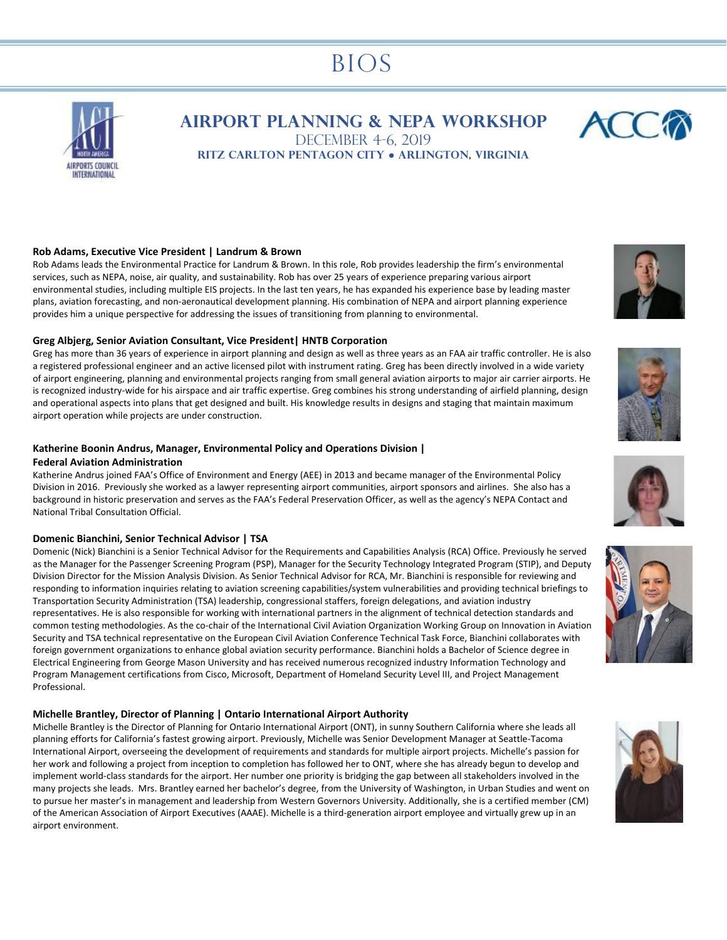# BIOS



**Airport Planning & NEPA Workshop** DECEMBER 4-6, 2019



# **Rob Adams, Executive Vice President | Landrum & Brown**

Rob Adams leads the Environmental Practice for Landrum & Brown. In this role, Rob provides leadership the firm's environmental services, such as NEPA, noise, air quality, and sustainability. Rob has over 25 years of experience preparing various airport environmental studies, including multiple EIS projects. In the last ten years, he has expanded his experience base by leading master plans, aviation forecasting, and non-aeronautical development planning. His combination of NEPA and airport planning experience provides him a unique perspective for addressing the issues of transitioning from planning to environmental.

#### **Greg Albjerg, Senior Aviation Consultant, Vice President| HNTB Corporation**

Greg has more than 36 years of experience in airport planning and design as well as three years as an FAA air traffic controller. He is also a registered professional engineer and an active licensed pilot with instrument rating. Greg has been directly involved in a wide variety of airport engineering, planning and environmental projects ranging from small general aviation airports to major air carrier airports. He is recognized industry-wide for his airspace and air traffic expertise. Greg combines his strong understanding of airfield planning, design and operational aspects into plans that get designed and built. His knowledge results in designs and staging that maintain maximum airport operation while projects are under construction.

# **Katherine Boonin Andrus, Manager, Environmental Policy and Operations Division |**

# **Federal Aviation Administration**

Katherine Andrus joined FAA's Office of Environment and Energy (AEE) in 2013 and became manager of the Environmental Policy Division in 2016. Previously she worked as a lawyer representing airport communities, airport sponsors and airlines. She also has a background in historic preservation and serves as the FAA's Federal Preservation Officer, as well as the agency's NEPA Contact and National Tribal Consultation Official.

#### **Domenic Bianchini, Senior Technical Advisor | TSA**

Domenic (Nick) Bianchini is a Senior Technical Advisor for the Requirements and Capabilities Analysis (RCA) Office. Previously he served as the Manager for the Passenger Screening Program (PSP), Manager for the Security Technology Integrated Program (STIP), and Deputy Division Director for the Mission Analysis Division. As Senior Technical Advisor for RCA, Mr. Bianchini is responsible for reviewing and responding to information inquiries relating to aviation screening capabilities/system vulnerabilities and providing technical briefings to Transportation Security Administration (TSA) leadership, congressional staffers, foreign delegations, and aviation industry representatives. He is also responsible for working with international partners in the alignment of technical detection standards and common testing methodologies. As the co-chair of the International Civil Aviation Organization Working Group on Innovation in Aviation Security and TSA technical representative on the European Civil Aviation Conference Technical Task Force, Bianchini collaborates with foreign government organizations to enhance global aviation security performance. Bianchini holds a Bachelor of Science degree in Electrical Engineering from George Mason University and has received numerous recognized industry Information Technology and Program Management certifications from Cisco, Microsoft, Department of Homeland Security Level III, and Project Management Professional.

#### **Michelle Brantley, Director of Planning | Ontario International Airport Authority**

Michelle Brantley is the Director of Planning for Ontario International Airport (ONT), in sunny Southern California where she leads all planning efforts for California's fastest growing airport. Previously, Michelle was Senior Development Manager at Seattle-Tacoma International Airport, overseeing the development of requirements and standards for multiple airport projects. Michelle's passion for her work and following a project from inception to completion has followed her to ONT, where she has already begun to develop and implement world-class standards for the airport. Her number one priority is bridging the gap between all stakeholders involved in the many projects she leads. Mrs. Brantley earned her bachelor's degree, from the University of Washington, in Urban Studies and went on to pursue her master's in management and leadership from Western Governors University. Additionally, she is a certified member (CM) of the American Association of Airport Executives (AAAE). Michelle is a third-generation airport employee and virtually grew up in an airport environment.











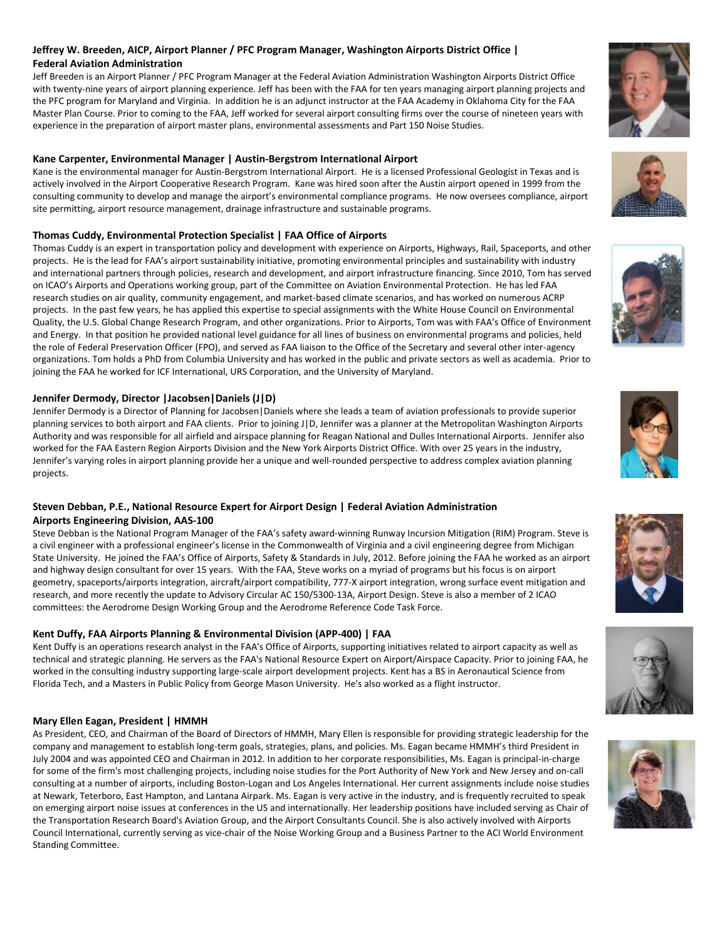# **Jeffrey W. Breeden, AICP, Airport Planner / PFC Program Manager, Washington Airports District Office | Federal Aviation Administration**

Jeff Breeden is an Airport Planner / PFC Program Manager at the Federal Aviation Administration Washington Airports District Office with twenty-nine years of airport planning experience. Jeff has been with the FAA for ten years managing airport planning projects and the PFC program for Maryland and Virginia. In addition he is an adjunct instructor at the FAA Academy in Oklahoma City for the FAA Master Plan Course. Prior to coming to the FAA, Jeff worked for several airport consulting firms over the course of nineteen years with experience in the preparation of airport master plans, environmental assessments and Part 150 Noise Studies.

# **Kane Carpenter, Environmental Manager | Austin-Bergstrom International Airport**

Kane is the environmental manager for Austin-Bergstrom International Airport. He is a licensed Professional Geologist in Texas and is actively involved in the Airport Cooperative Research Program. Kane was hired soon after the Austin airport opened in 1999 from the consulting community to develop and manage the airport's environmental compliance programs. He now oversees compliance, airport site permitting, airport resource management, drainage infrastructure and sustainable programs.

# **Thomas Cuddy, Environmental Protection Specialist | FAA Office of Airports**

Thomas Cuddy is an expert in transportation policy and development with experience on Airports, Highways, Rail, Spaceports, and other projects. He is the lead for FAA's airport sustainability initiative, promoting environmental principles and sustainability with industry and international partners through policies, research and development, and airport infrastructure financing. Since 2010, Tom has served on ICAO's Airports and Operations working group, part of the Committee on Aviation Environmental Protection. He has led FAA research studies on air quality, community engagement, and market-based climate scenarios, and has worked on numerous ACRP projects. In the past few years, he has applied this expertise to special assignments with the White House Council on Environmental Quality, the U.S. Global Change Research Program, and other organizations. Prior to Airports, Tom was with FAA's Office of Environment and Energy. In that position he provided national level guidance for all lines of business on environmental programs and policies, held the role of Federal Preservation Officer (FPO), and served as FAA liaison to the Office of the Secretary and several other inter-agency organizations. Tom holds a PhD from Columbia University and has worked in the public and private sectors as well as academia. Prior to joining the FAA he worked for ICF International, URS Corporation, and the University of Maryland.

# **Jennifer Dermody, Director |Jacobsen|Daniels (J|D)**

Jennifer Dermody is a Director of Planning for Jacobsen|Daniels where she leads a team of aviation professionals to provide superior planning services to both airport and FAA clients. Prior to joining J|D, Jennifer was a planner at the Metropolitan Washington Airports Authority and was responsible for all airfield and airspace planning for Reagan National and Dulles International Airports. Jennifer also worked for the FAA Eastern Region Airports Division and the New York Airports District Office. With over 25 years in the industry, Jennifer's varying roles in airport planning provide her a unique and well-rounded perspective to address complex aviation planning projects.

# **Steven Debban, P.E., National Resource Expert for Airport Design | Federal Aviation Administration**

# **Airports Engineering Division, AAS-100**

Steve Debban is the National Program Manager of the FAA's safety award-winning Runway Incursion Mitigation (RIM) Program. Steve is a civil engineer with a professional engineer's license in the Commonwealth of Virginia and a civil engineering degree from Michigan State University. He joined the FAA's Office of Airports, Safety & Standards in July, 2012. Before joining the FAA he worked as an airport and highway design consultant for over 15 years. With the FAA, Steve works on a myriad of programs but his focus is on airport geometry, spaceports/airports integration, aircraft/airport compatibility, 777-X airport integration, wrong surface event mitigation and research, and more recently the update to Advisory Circular AC 150/5300-13A, Airport Design. Steve is also a member of 2 ICAO committees: the Aerodrome Design Working Group and the Aerodrome Reference Code Task Force.

# **Kent Duffy, FAA Airports Planning & Environmental Division (APP-400) | FAA**

Kent Duffy is an operations research analyst in the FAA's Office of Airports, supporting initiatives related to airport capacity as well as technical and strategic planning. He servers as the FAA's National Resource Expert on Airport/Airspace Capacity. Prior to joining FAA, he worked in the consulting industry supporting large-scale airport development projects. Kent has a BS in Aeronautical Science from Florida Tech, and a Masters in Public Policy from George Mason University. He's also worked as a flight instructor.

# **Mary Ellen Eagan, President | HMMH**

As President, CEO, and Chairman of the Board of Directors of HMMH, Mary Ellen is responsible for providing strategic leadership for the company and management to establish long-term goals, strategies, plans, and policies. Ms. Eagan became HMMH's third President in July 2004 and was appointed CEO and Chairman in 2012. In addition to her corporate responsibilities, Ms. Eagan is principal-in-charge for some of the firm's most challenging projects, including noise studies for the Port Authority of New York and New Jersey and on-call consulting at a number of airports, including Boston-Logan and Los Angeles International. Her current assignments include noise studies at Newark, Teterboro, East Hampton, and Lantana Airpark. Ms. Eagan is very active in the industry, and is frequently recruited to speak on emerging airport noise issues at conferences in the US and internationally. Her leadership positions have included serving as Chair of the Transportation Research Board's Aviation Group, and the Airport Consultants Council. She is also actively involved with Airports Council International, currently serving as vice-chair of the Noise Working Group and a Business Partner to the ACI World Environment Standing Committee.













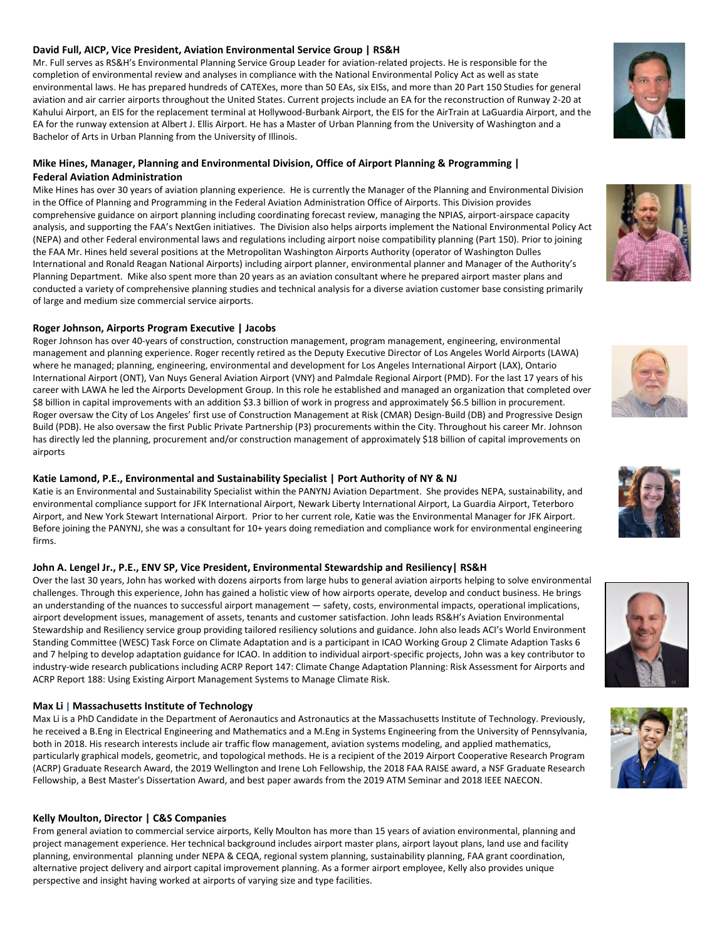#### **David Full, AICP, Vice President, Aviation Environmental Service Group | RS&H**

Mr. Full serves as RS&H's Environmental Planning Service Group Leader for aviation-related projects. He is responsible for the completion of environmental review and analyses in compliance with the National Environmental Policy Act as well as state environmental laws. He has prepared hundreds of CATEXes, more than 50 EAs, six EISs, and more than 20 Part 150 Studies for general aviation and air carrier airports throughout the United States. Current projects include an EA for the reconstruction of Runway 2-20 at Kahului Airport, an EIS for the replacement terminal at Hollywood-Burbank Airport, the EIS for the AirTrain at LaGuardia Airport, and the EA for the runway extension at Albert J. Ellis Airport. He has a Master of Urban Planning from the University of Washington and a Bachelor of Arts in Urban Planning from the University of Illinois.

# **Mike Hines, Manager, Planning and Environmental Division, Office of Airport Planning & Programming | Federal Aviation Administration**

Mike Hines has over 30 years of aviation planning experience. He is currently the Manager of the Planning and Environmental Division in the Office of Planning and Programming in the Federal Aviation Administration Office of Airports. This Division provides comprehensive guidance on airport planning including coordinating forecast review, managing the NPIAS, airport-airspace capacity analysis, and supporting the FAA's NextGen initiatives. The Division also helps airports implement the National Environmental Policy Act (NEPA) and other Federal environmental laws and regulations including airport noise compatibility planning (Part 150). Prior to joining the FAA Mr. Hines held several positions at the Metropolitan Washington Airports Authority (operator of Washington Dulles International and Ronald Reagan National Airports) including airport planner, environmental planner and Manager of the Authority's Planning Department. Mike also spent more than 20 years as an aviation consultant where he prepared airport master plans and conducted a variety of comprehensive planning studies and technical analysis for a diverse aviation customer base consisting primarily of large and medium size commercial service airports.

#### **Roger Johnson, Airports Program Executive | Jacobs**

Roger Johnson has over 40-years of construction, construction management, program management, engineering, environmental management and planning experience. Roger recently retired as the Deputy Executive Director of Los Angeles World Airports (LAWA) where he managed; planning, engineering, environmental and development for Los Angeles International Airport (LAX), Ontario International Airport (ONT), Van Nuys General Aviation Airport (VNY) and Palmdale Regional Airport (PMD). For the last 17 years of his career with LAWA he led the Airports Development Group. In this role he established and managed an organization that completed over \$8 billion in capital improvements with an addition \$3.3 billion of work in progress and approximately \$6.5 billion in procurement. Roger oversaw the City of Los Angeles' first use of Construction Management at Risk (CMAR) Design-Build (DB) and Progressive Design Build (PDB). He also oversaw the first Public Private Partnership (P3) procurements within the City. Throughout his career Mr. Johnson has directly led the planning, procurement and/or construction management of approximately \$18 billion of capital improvements on airports

# **Katie Lamond, P.E., Environmental and Sustainability Specialist | Port Authority of NY & NJ**

Katie is an Environmental and Sustainability Specialist within the PANYNJ Aviation Department. She provides NEPA, sustainability, and environmental compliance support for JFK International Airport, Newark Liberty International Airport, La Guardia Airport, Teterboro Airport, and New York Stewart International Airport. Prior to her current role, Katie was the Environmental Manager for JFK Airport. Before joining the PANYNJ, she was a consultant for 10+ years doing remediation and compliance work for environmental engineering firms.

# **John A. Lengel Jr., P.E., ENV SP, Vice President, Environmental Stewardship and Resiliency| RS&H**

Over the last 30 years, John has worked with dozens airports from large hubs to general aviation airports helping to solve environmental challenges. Through this experience, John has gained a holistic view of how airports operate, develop and conduct business. He brings an understanding of the nuances to successful airport management — safety, costs, environmental impacts, operational implications, airport development issues, management of assets, tenants and customer satisfaction. John leads RS&H's Aviation Environmental Stewardship and Resiliency service group providing tailored resiliency solutions and guidance. John also leads ACI's World Environment Standing Committee (WESC) Task Force on Climate Adaptation and is a participant in ICAO Working Group 2 Climate Adaption Tasks 6 and 7 helping to develop adaptation guidance for ICAO. In addition to individual airport-specific projects, John was a key contributor to industry-wide research publications including ACRP Report 147: Climate Change Adaptation Planning: Risk Assessment for Airports and ACRP Report 188: Using Existing Airport Management Systems to Manage Climate Risk.

# **Max Li | Massachusetts Institute of Technology**

Max Li is a PhD Candidate in the Department of Aeronautics and Astronautics at the Massachusetts Institute of Technology. Previously, he received a B.Eng in Electrical Engineering and Mathematics and a M.Eng in Systems Engineering from the University of Pennsylvania, both in 2018. His research interests include air traffic flow management, aviation systems modeling, and applied mathematics, particularly graphical models, geometric, and topological methods. He is a recipient of the 2019 Airport Cooperative Research Program (ACRP) Graduate Research Award, the 2019 Wellington and Irene Loh Fellowship, the 2018 FAA RAISE award, a NSF Graduate Research Fellowship, a Best Master's Dissertation Award, and best paper awards from the 2019 ATM Seminar and 2018 IEEE NAECON.

# **Kelly Moulton, Director | C&S Companies**

From general aviation to commercial service airports, Kelly Moulton has more than 15 years of aviation environmental, planning and project management experience. Her technical background includes airport master plans, airport layout plans, land use and facility planning, environmental planning under NEPA & CEQA, regional system planning, sustainability planning, FAA grant coordination, alternative project delivery and airport capital improvement planning. As a former airport employee, Kelly also provides unique perspective and insight having worked at airports of varying size and type facilities.









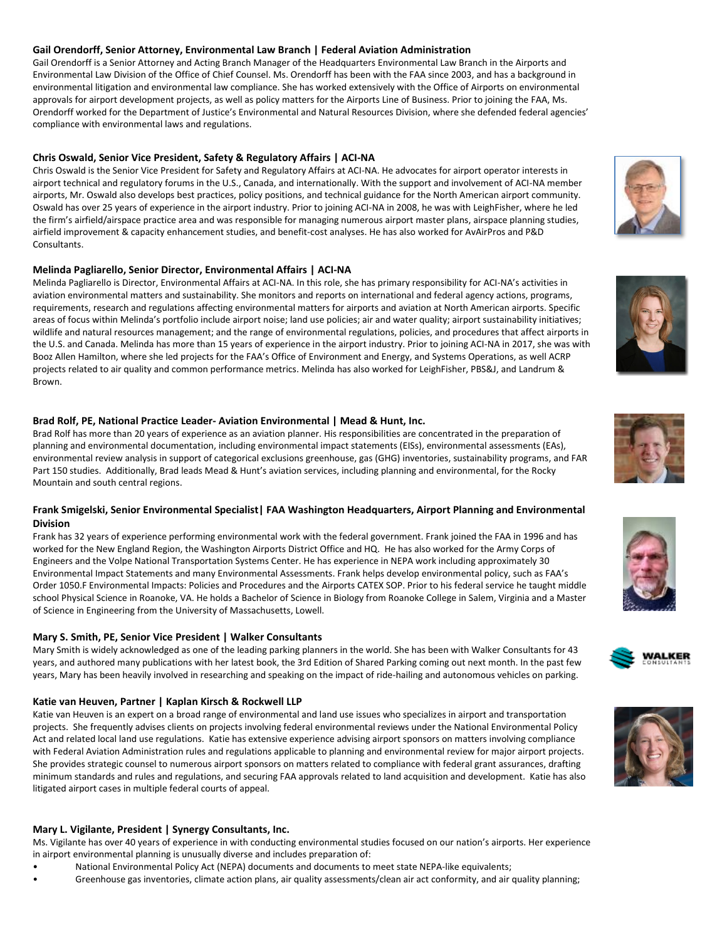#### **Gail Orendorff, Senior Attorney, Environmental Law Branch | Federal Aviation Administration**

Gail Orendorff is a Senior Attorney and Acting Branch Manager of the Headquarters Environmental Law Branch in the Airports and Environmental Law Division of the Office of Chief Counsel. Ms. Orendorff has been with the FAA since 2003, and has a background in environmental litigation and environmental law compliance. She has worked extensively with the Office of Airports on environmental approvals for airport development projects, as well as policy matters for the Airports Line of Business. Prior to joining the FAA, Ms. Orendorff worked for the Department of Justice's Environmental and Natural Resources Division, where she defended federal agencies' compliance with environmental laws and regulations.

#### **Chris Oswald, Senior Vice President, Safety & Regulatory Affairs | ACI-NA**

Chris Oswald is the Senior Vice President for Safety and Regulatory Affairs at ACI-NA. He advocates for airport operator interests in airport technical and regulatory forums in the U.S., Canada, and internationally. With the support and involvement of ACI-NA member airports, Mr. Oswald also develops best practices, policy positions, and technical guidance for the North American airport community. Oswald has over 25 years of experience in the airport industry. Prior to joining ACI-NA in 2008, he was with LeighFisher, where he led the firm's airfield/airspace practice area and was responsible for managing numerous airport master plans, airspace planning studies, airfield improvement & capacity enhancement studies, and benefit-cost analyses. He has also worked for AvAirPros and P&D Consultants.

#### **Melinda Pagliarello, Senior Director, Environmental Affairs | ACI-NA**

Melinda Pagliarello is Director, Environmental Affairs at ACI-NA. In this role, she has primary responsibility for ACI-NA's activities in aviation environmental matters and sustainability. She monitors and reports on international and federal agency actions, programs, requirements, research and regulations affecting environmental matters for airports and aviation at North American airports. Specific areas of focus within Melinda's portfolio include airport noise; land use policies; air and water quality; airport sustainability initiatives; wildlife and natural resources management; and the range of environmental regulations, policies, and procedures that affect airports in the U.S. and Canada. Melinda has more than 15 years of experience in the airport industry. Prior to joining ACI-NA in 2017, she was with Booz Allen Hamilton, where she led projects for the FAA's Office of Environment and Energy, and Systems Operations, as well ACRP projects related to air quality and common performance metrics. Melinda has also worked for LeighFisher, PBS&J, and Landrum & Brown.

#### **Brad Rolf, PE, National Practice Leader- Aviation Environmental | Mead & Hunt, Inc.**

Brad Rolf has more than 20 years of experience as an aviation planner. His responsibilities are concentrated in the preparation of planning and environmental documentation, including environmental impact statements (EISs), environmental assessments (EAs), environmental review analysis in support of categorical exclusions greenhouse, gas (GHG) inventories, sustainability programs, and FAR Part 150 studies. Additionally, Brad leads Mead & Hunt's aviation services, including planning and environmental, for the Rocky Mountain and south central regions.

#### **Frank Smigelski, Senior Environmental Specialist| FAA Washington Headquarters, Airport Planning and Environmental Division**

Frank has 32 years of experience performing environmental work with the federal government. Frank joined the FAA in 1996 and has worked for the New England Region, the Washington Airports District Office and HQ. He has also worked for the Army Corps of Engineers and the Volpe National Transportation Systems Center. He has experience in NEPA work including approximately 30 Environmental Impact Statements and many Environmental Assessments. Frank helps develop environmental policy, such as FAA's Order 1050.F Environmental Impacts: Policies and Procedures and the Airports CATEX SOP. Prior to his federal service he taught middle school Physical Science in Roanoke, VA. He holds a Bachelor of Science in Biology from Roanoke College in Salem, Virginia and a Master of Science in Engineering from the University of Massachusetts, Lowell.

# **Mary S. Smith, PE, Senior Vice President | Walker Consultants**

Mary Smith is widely acknowledged as one of the leading parking planners in the world. She has been with Walker Consultants for 43 years, and authored many publications with her latest book, the 3rd Edition of Shared Parking coming out next month. In the past few years, Mary has been heavily involved in researching and speaking on the impact of ride-hailing and autonomous vehicles on parking.

#### **Katie van Heuven, Partner | Kaplan Kirsch & Rockwell LLP**

Katie van Heuven is an expert on a broad range of environmental and land use issues who specializes in airport and transportation projects. She frequently advises clients on projects involving federal environmental reviews under the National Environmental Policy Act and related local land use regulations. Katie has extensive experience advising airport sponsors on matters involving compliance with Federal Aviation Administration rules and regulations applicable to planning and environmental review for major airport projects. She provides strategic counsel to numerous airport sponsors on matters related to compliance with federal grant assurances, drafting minimum standards and rules and regulations, and securing FAA approvals related to land acquisition and development. Katie has also litigated airport cases in multiple federal courts of appeal.

# **Mary L. Vigilante, President | Synergy Consultants, Inc.**

Ms. Vigilante has over 40 years of experience in with conducting environmental studies focused on our nation's airports. Her experience in airport environmental planning is unusually diverse and includes preparation of:

- National Environmental Policy Act (NEPA) documents and documents to meet state NEPA-like equivalents;
- Greenhouse gas inventories, climate action plans, air quality assessments/clean air act conformity, and air quality planning;